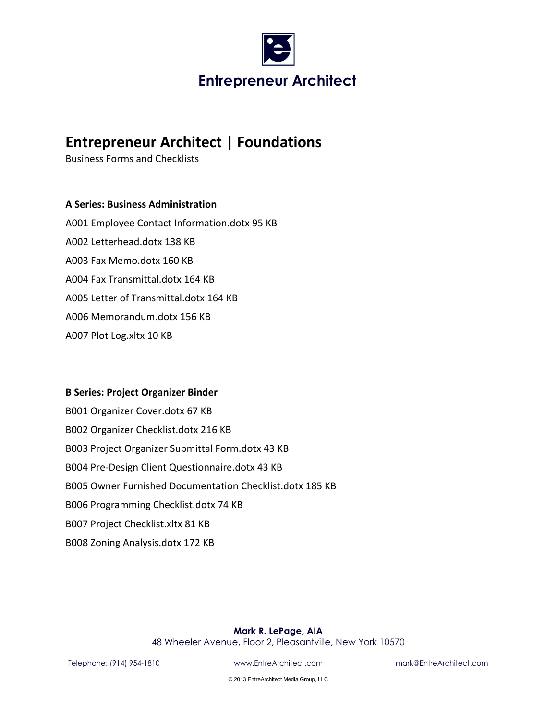

# **Entrepreneur Architect | Foundations**

Business Forms and Checklists

## **A Series: Business Administration**

A001 Employee Contact Information.dotx 95 KB A002 Letterhead.dotx 138 KB A003 Fax Memo.dotx 160 KB A004 Fax Transmittal.dotx 164 KB A005 Letter of Transmittal.dotx 164 KB A006 Memorandum.dotx 156 KB A007 Plot Log.xltx 10 KB

### **B Series: Project Organizer Binder**

B001 Organizer Cover.dotx 67 KB B002 Organizer Checklist.dotx 216 KB B003 Project Organizer Submittal Form.dotx 43 KB B004 Pre-Design Client Questionnaire.dotx 43 KB B005 Owner Furnished Documentation Checklist.dotx 185 KB B006 Programming Checklist.dotx 74 KB B007 Project Checklist.xltx 81 KB B008 Zoning Analysis.dotx 172 KB 

### **Mark R. LePage, AIA**

48 Wheeler Avenue, Floor 2, Pleasantville, New York 10570

Telephone: (914) 954-1810 www.EntreArchitect.com mark@EntreArchitect.com

© 2013 EntreArchitect Media Group, LLC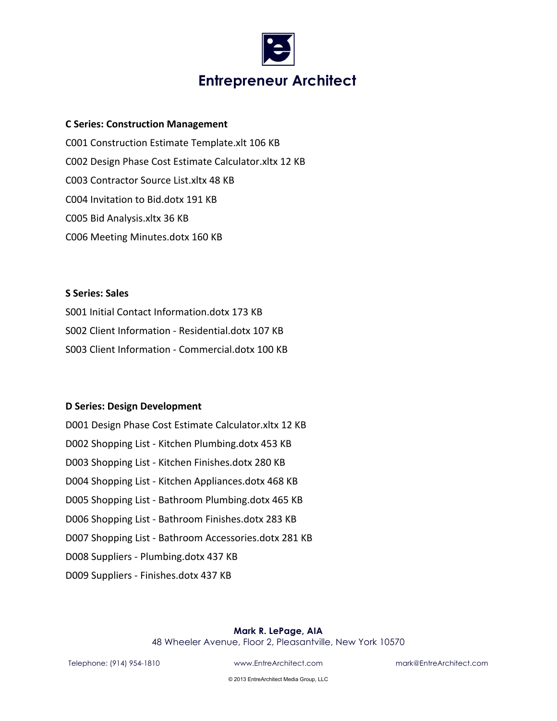

## **Entrepreneur Architect**

### **C Series: Construction Management**

C001 Construction Estimate Template.xlt 106 KB C002 Design Phase Cost Estimate Calculator.xltx 12 KB C003 Contractor Source List.xltx 48 KB C004 Invitation to Bid.dotx 191 KB C005 Bid Analysis.xltx 36 KB C006 Meeting Minutes.dotx 160 KB

**S** Series: Sales S001 Initial Contact Information.dotx 173 KB S002 Client Information - Residential.dotx 107 KB S003 Client Information - Commercial.dotx 100 KB

### **D Series: Design Development**

| D001 Design Phase Cost Estimate Calculator.xltx 12 KB |
|-------------------------------------------------------|
| D002 Shopping List - Kitchen Plumbing.dotx 453 KB     |
| D003 Shopping List - Kitchen Finishes.dotx 280 KB     |
| D004 Shopping List - Kitchen Appliances.dotx 468 KB   |
| D005 Shopping List - Bathroom Plumbing.dotx 465 KB    |
| D006 Shopping List - Bathroom Finishes.dotx 283 KB    |
| D007 Shopping List - Bathroom Accessories.dotx 281 KB |
| D008 Suppliers - Plumbing.dotx 437 KB                 |
| D009 Suppliers - Finishes.dotx 437 KB                 |

#### **Mark R. LePage, AIA**

48 Wheeler Avenue, Floor 2, Pleasantville, New York 10570